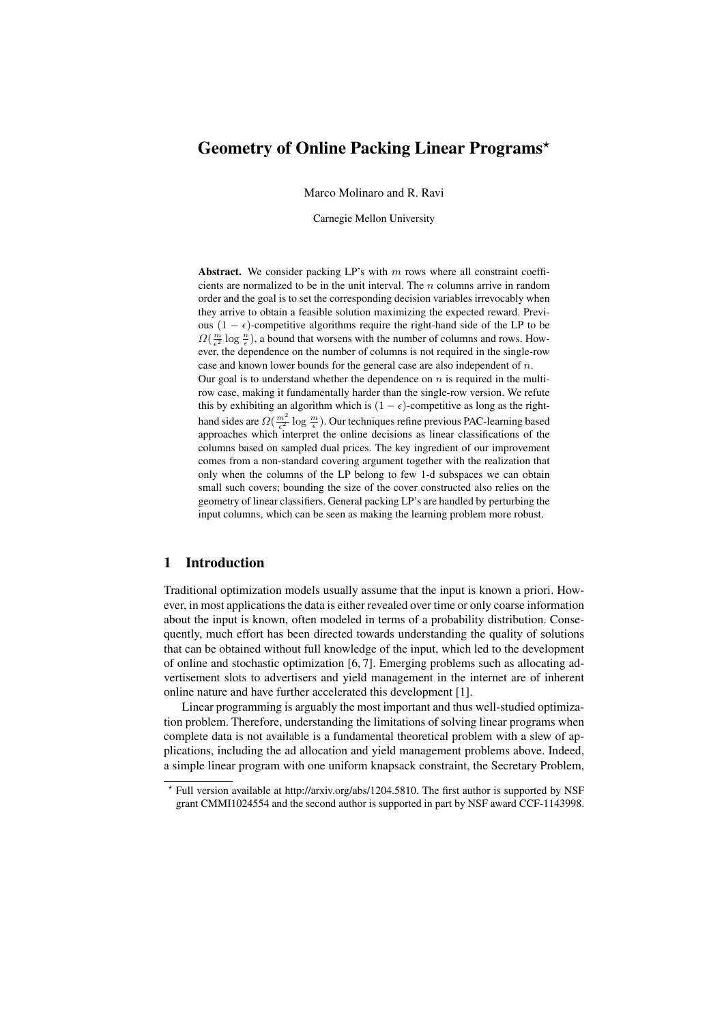# Geometry of Online Packing Linear Programs?

Marco Molinaro and R. Ravi

Carnegie Mellon University

Abstract. We consider packing  $LP$ 's with m rows where all constraint coefficients are normalized to be in the unit interval. The n columns arrive in random order and the goal is to set the corresponding decision variables irrevocably when they arrive to obtain a feasible solution maximizing the expected reward. Previous  $(1 - \epsilon)$ -competitive algorithms require the right-hand side of the LP to be  $\Omega(\frac{m}{\epsilon^2} \log \frac{n}{\epsilon})$ , a bound that worsens with the number of columns and rows. However, the dependence on the number of columns is not required in the single-row case and known lower bounds for the general case are also independent of n. Our goal is to understand whether the dependence on  $n$  is required in the multirow case, making it fundamentally harder than the single-row version. We refute this by exhibiting an algorithm which is  $(1 - \epsilon)$ -competitive as long as the righthand sides are  $\Omega(\frac{m^2}{\epsilon^2} \log \frac{m}{\epsilon})$ . Our techniques refine previous PAC-learning based approaches which interpret the online decisions as linear classifications of the columns based on sampled dual prices. The key ingredient of our improvement comes from a non-standard covering argument together with the realization that only when the columns of the LP belong to few 1-d subspaces we can obtain small such covers; bounding the size of the cover constructed also relies on the geometry of linear classifiers. General packing LP's are handled by perturbing the input columns, which can be seen as making the learning problem more robust.

## 1 Introduction

Traditional optimization models usually assume that the input is known a priori. However, in most applications the data is either revealed over time or only coarse information about the input is known, often modeled in terms of a probability distribution. Consequently, much effort has been directed towards understanding the quality of solutions that can be obtained without full knowledge of the input, which led to the development of online and stochastic optimization [6, 7]. Emerging problems such as allocating advertisement slots to advertisers and yield management in the internet are of inherent online nature and have further accelerated this development [1].

Linear programming is arguably the most important and thus well-studied optimization problem. Therefore, understanding the limitations of solving linear programs when complete data is not available is a fundamental theoretical problem with a slew of applications, including the ad allocation and yield management problems above. Indeed, a simple linear program with one uniform knapsack constraint, the Secretary Problem,

<sup>?</sup> Full version available at http://arxiv.org/abs/1204.5810. The first author is supported by NSF grant CMMI1024554 and the second author is supported in part by NSF award CCF-1143998.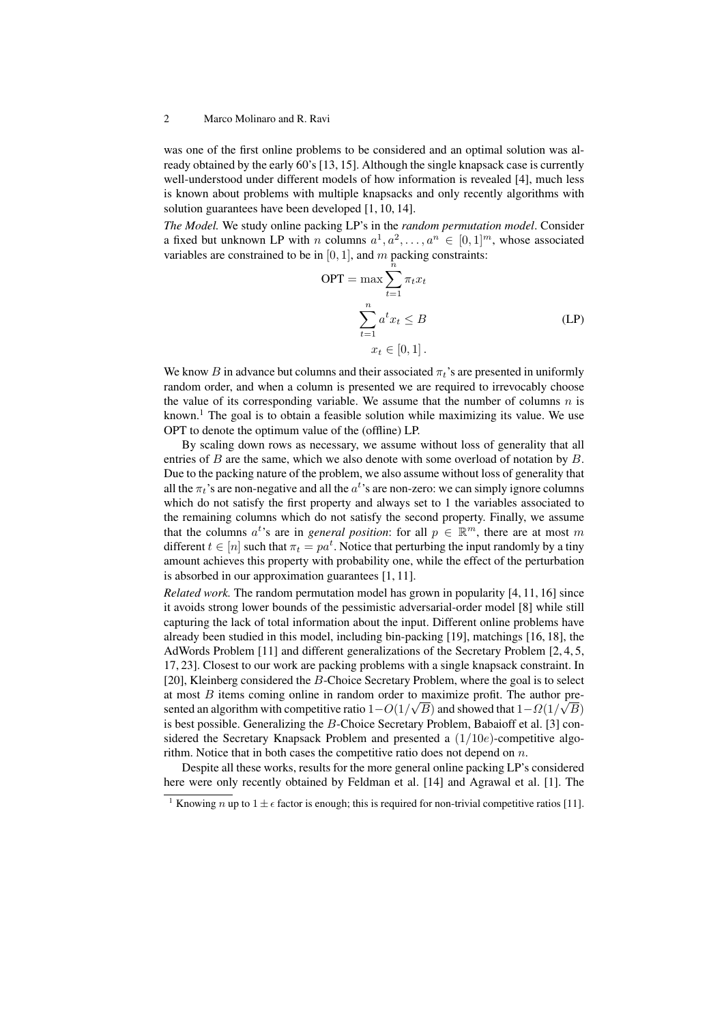was one of the first online problems to be considered and an optimal solution was already obtained by the early 60's [13, 15]. Although the single knapsack case is currently well-understood under different models of how information is revealed [4], much less is known about problems with multiple knapsacks and only recently algorithms with solution guarantees have been developed [1, 10, 14].

*The Model.* We study online packing LP's in the *random permutation model*. Consider a fixed but unknown LP with n columns  $a^1, a^2, \ldots, a^n \in [0, 1]^m$ , whose associated variables are constrained to be in  $[0, 1]$ , and m packing constraints:

$$
OPT = \max \sum_{t=1}^{\hat{n}} \pi_t x_t
$$

$$
\sum_{t=1}^n a^t x_t \leq B
$$

$$
x_t \in [0, 1].
$$
 (LP)

We know B in advance but columns and their associated  $\pi_t$ 's are presented in uniformly random order, and when a column is presented we are required to irrevocably choose the value of its corresponding variable. We assume that the number of columns  $n$  is known.<sup>1</sup> The goal is to obtain a feasible solution while maximizing its value. We use OPT to denote the optimum value of the (offline) LP.

By scaling down rows as necessary, we assume without loss of generality that all entries of  $B$  are the same, which we also denote with some overload of notation by  $B$ . Due to the packing nature of the problem, we also assume without loss of generality that all the  $\pi_t$ 's are non-negative and all the  $a^t$ 's are non-zero: we can simply ignore columns which do not satisfy the first property and always set to 1 the variables associated to the remaining columns which do not satisfy the second property. Finally, we assume that the columns  $a^t$ 's are in *general position*: for all  $p \in \mathbb{R}^m$ , there are at most m different  $t \in [n]$  such that  $\pi_t = pa^t$ . Notice that perturbing the input randomly by a tiny amount achieves this property with probability one, while the effect of the perturbation is absorbed in our approximation guarantees [1, 11].

*Related work.* The random permutation model has grown in popularity [4, 11, 16] since it avoids strong lower bounds of the pessimistic adversarial-order model [8] while still capturing the lack of total information about the input. Different online problems have already been studied in this model, including bin-packing [19], matchings [16, 18], the AdWords Problem [11] and different generalizations of the Secretary Problem [2, 4, 5, 17, 23]. Closest to our work are packing problems with a single knapsack constraint. In [20], Kleinberg considered the B-Choice Secretary Problem, where the goal is to select at most B items coming online in random order to maximize profit. The author presented an algorithm with competitive ratio  $1-O(1/\sqrt{B})$  and showed that  $1-O(1/\sqrt{B})$ is best possible. Generalizing the B-Choice Secretary Problem, Babaioff et al. [3] considered the Secretary Knapsack Problem and presented a  $(1/10e)$ -competitive algorithm. Notice that in both cases the competitive ratio does not depend on  $n$ .

Despite all these works, results for the more general online packing LP's considered here were only recently obtained by Feldman et al. [14] and Agrawal et al. [1]. The

<sup>&</sup>lt;sup>1</sup> Knowing *n* up to  $1 \pm \epsilon$  factor is enough; this is required for non-trivial competitive ratios [11].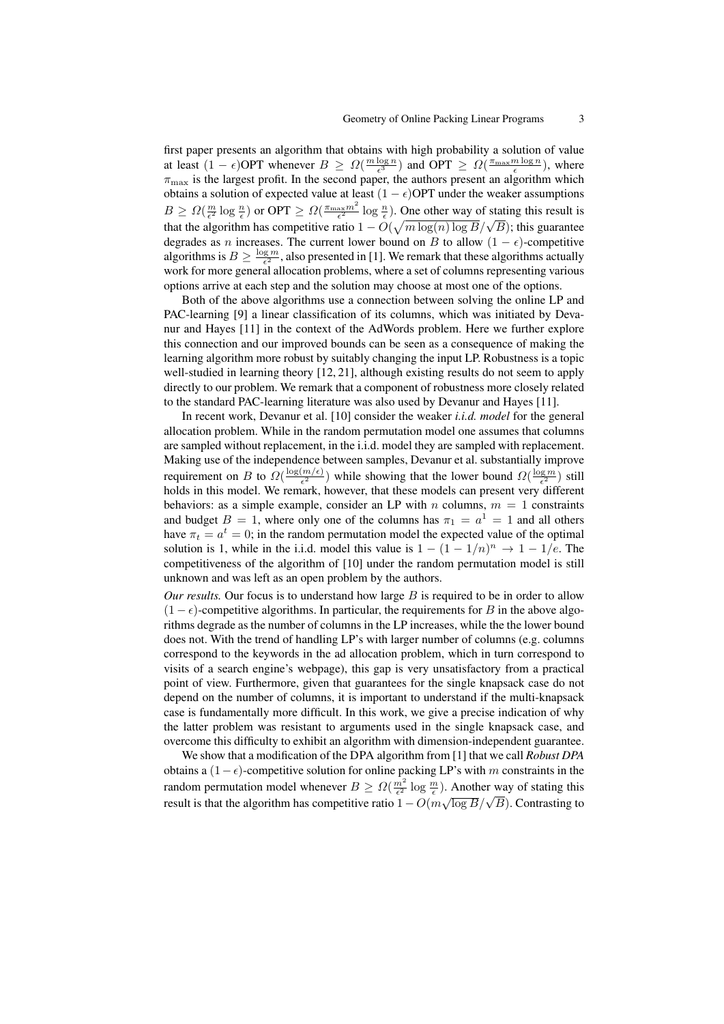first paper presents an algorithm that obtains with high probability a solution of value at least  $(1 - \epsilon)$ OPT whenever  $B \geq \Omega(\frac{m \log n}{\epsilon^3})$  and OPT  $\geq \Omega(\frac{\pi_{\max} m \log n}{\epsilon})$ , where  $\pi_{\text{max}}$  is the largest profit. In the second paper, the authors present an algorithm which obtains a solution of expected value at least  $(1 - \epsilon)$ OPT under the weaker assumptions  $B \ge \Omega(\frac{m}{\epsilon^2} \log \frac{n}{\epsilon})$  or OPT  $\ge \Omega(\frac{\pi_{\max} m^2}{\epsilon^2} \log \frac{n}{\epsilon})$ . One other way of stating this result is  $D \leq 32(\frac{1}{\epsilon^2} \log \frac{1}{\epsilon})$  of Of  $1 \leq 32(\frac{1}{\epsilon^2} \log \frac{1}{\epsilon})$ . One onlet way of stating this result is that the algorithm has competitive ratio  $1 - O(\sqrt{m \log(n) \log B}/\sqrt{B})$ ; this guarantee degrades as n increases. The current lower bound on B to allow  $(1 - \epsilon)$ -competitive algorithms is  $B \ge \frac{\log m}{\epsilon^2}$ , also presented in [1]. We remark that these algorithms actually work for more general allocation problems, where a set of columns representing various options arrive at each step and the solution may choose at most one of the options.

Both of the above algorithms use a connection between solving the online LP and PAC-learning [9] a linear classification of its columns, which was initiated by Devanur and Hayes [11] in the context of the AdWords problem. Here we further explore this connection and our improved bounds can be seen as a consequence of making the learning algorithm more robust by suitably changing the input LP. Robustness is a topic well-studied in learning theory [12, 21], although existing results do not seem to apply directly to our problem. We remark that a component of robustness more closely related to the standard PAC-learning literature was also used by Devanur and Hayes [11].

In recent work, Devanur et al. [10] consider the weaker *i.i.d. model* for the general allocation problem. While in the random permutation model one assumes that columns are sampled without replacement, in the i.i.d. model they are sampled with replacement. Making use of the independence between samples, Devanur et al. substantially improve requirement on B to  $\Omega(\frac{\log(m/\epsilon)}{\epsilon^2})$  while showing that the lower bound  $\Omega(\frac{\log m}{\epsilon^2})$  still holds in this model. We remark, however, that these models can present very different holds in this model. We remark, however, that these models can present very different behaviors: as a simple example, consider an LP with n columns,  $m = 1$  constraints and budget  $B = 1$ , where only one of the columns has  $\pi_1 = a^1 = 1$  and all others have  $\pi_t = a^t = 0$ ; in the random permutation model the expected value of the optimal solution is 1, while in the i.i.d. model this value is  $1 - (1 - 1/n)^n \rightarrow 1 - 1/e$ . The competitiveness of the algorithm of [10] under the random permutation model is still unknown and was left as an open problem by the authors.

*Our results.* Our focus is to understand how large  $B$  is required to be in order to allow  $(1 - \epsilon)$ -competitive algorithms. In particular, the requirements for B in the above algorithms degrade as the number of columns in the LP increases, while the the lower bound does not. With the trend of handling LP's with larger number of columns (e.g. columns correspond to the keywords in the ad allocation problem, which in turn correspond to visits of a search engine's webpage), this gap is very unsatisfactory from a practical point of view. Furthermore, given that guarantees for the single knapsack case do not depend on the number of columns, it is important to understand if the multi-knapsack case is fundamentally more difficult. In this work, we give a precise indication of why the latter problem was resistant to arguments used in the single knapsack case, and overcome this difficulty to exhibit an algorithm with dimension-independent guarantee.

We show that a modification of the DPA algorithm from [1] that we call *Robust DPA* obtains a  $(1-\epsilon)$ -competitive solution for online packing LP's with m constraints in the random permutation model whenever  $B \geq \Omega(\frac{m^2}{\epsilon^2} \log \frac{m}{\epsilon})$ . Another way of stating this result is that the algorithm has competitive ratio  $1 - O(m\sqrt{\log B}/\sqrt{B})$ . Contrasting to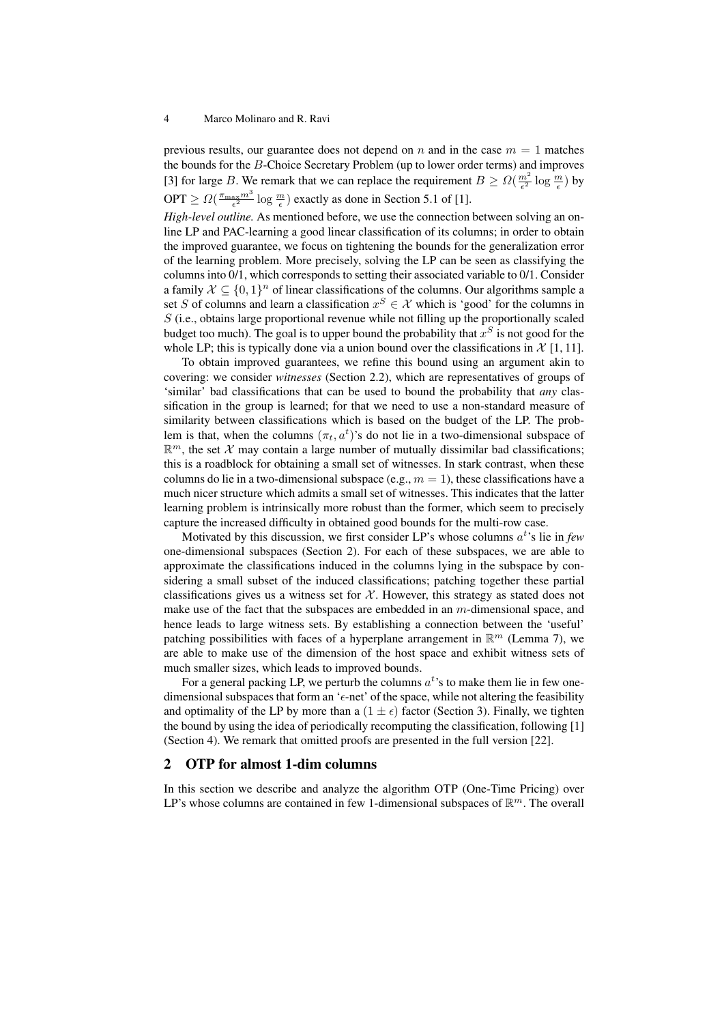previous results, our guarantee does not depend on n and in the case  $m = 1$  matches the bounds for the B-Choice Secretary Problem (up to lower order terms) and improves [3] for large B. We remark that we can replace the requirement  $B \geq \Omega(\frac{m^2}{\epsilon^2} \log \frac{m}{\epsilon})$  by OPT  $\geq \Omega(\frac{\pi_{\max}m^3}{\epsilon^2} \log \frac{m}{\epsilon})$  exactly as done in Section 5.1 of [1].

*High-level outline.* As mentioned before, we use the connection between solving an online LP and PAC-learning a good linear classification of its columns; in order to obtain the improved guarantee, we focus on tightening the bounds for the generalization error of the learning problem. More precisely, solving the LP can be seen as classifying the columns into 0/1, which corresponds to setting their associated variable to 0/1. Consider a family  $\mathcal{X} \subseteq \{0,1\}^n$  of linear classifications of the columns. Our algorithms sample a set S of columns and learn a classification  $x^S \in \mathcal{X}$  which is 'good' for the columns in  $S$  (i.e., obtains large proportional revenue while not filling up the proportionally scaled budget too much). The goal is to upper bound the probability that  $x^S$  is not good for the whole LP; this is typically done via a union bound over the classifications in  $\mathcal{X}$  [1, 11].

To obtain improved guarantees, we refine this bound using an argument akin to covering: we consider *witnesses* (Section 2.2), which are representatives of groups of 'similar' bad classifications that can be used to bound the probability that *any* classification in the group is learned; for that we need to use a non-standard measure of similarity between classifications which is based on the budget of the LP. The problem is that, when the columns  $(\pi_t, a^t)$ 's do not lie in a two-dimensional subspace of  $\mathbb{R}^m$ , the set X may contain a large number of mutually dissimilar bad classifications; this is a roadblock for obtaining a small set of witnesses. In stark contrast, when these columns do lie in a two-dimensional subspace (e.g.,  $m = 1$ ), these classifications have a much nicer structure which admits a small set of witnesses. This indicates that the latter learning problem is intrinsically more robust than the former, which seem to precisely capture the increased difficulty in obtained good bounds for the multi-row case.

Motivated by this discussion, we first consider LP's whose columns  $a^t$ 's lie in *few* one-dimensional subspaces (Section 2). For each of these subspaces, we are able to approximate the classifications induced in the columns lying in the subspace by considering a small subset of the induced classifications; patching together these partial classifications gives us a witness set for  $X$ . However, this strategy as stated does not make use of the fact that the subspaces are embedded in an m-dimensional space, and hence leads to large witness sets. By establishing a connection between the 'useful' patching possibilities with faces of a hyperplane arrangement in  $\mathbb{R}^m$  (Lemma 7), we are able to make use of the dimension of the host space and exhibit witness sets of much smaller sizes, which leads to improved bounds.

For a general packing LP, we perturb the columns  $a<sup>t</sup>$ 's to make them lie in few onedimensional subspaces that form an 'e-net' of the space, while not altering the feasibility and optimality of the LP by more than a  $(1 \pm \epsilon)$  factor (Section 3). Finally, we tighten the bound by using the idea of periodically recomputing the classification, following [1] (Section 4). We remark that omitted proofs are presented in the full version [22].

## 2 OTP for almost 1-dim columns

In this section we describe and analyze the algorithm OTP (One-Time Pricing) over LP's whose columns are contained in few 1-dimensional subspaces of  $\mathbb{R}^m$ . The overall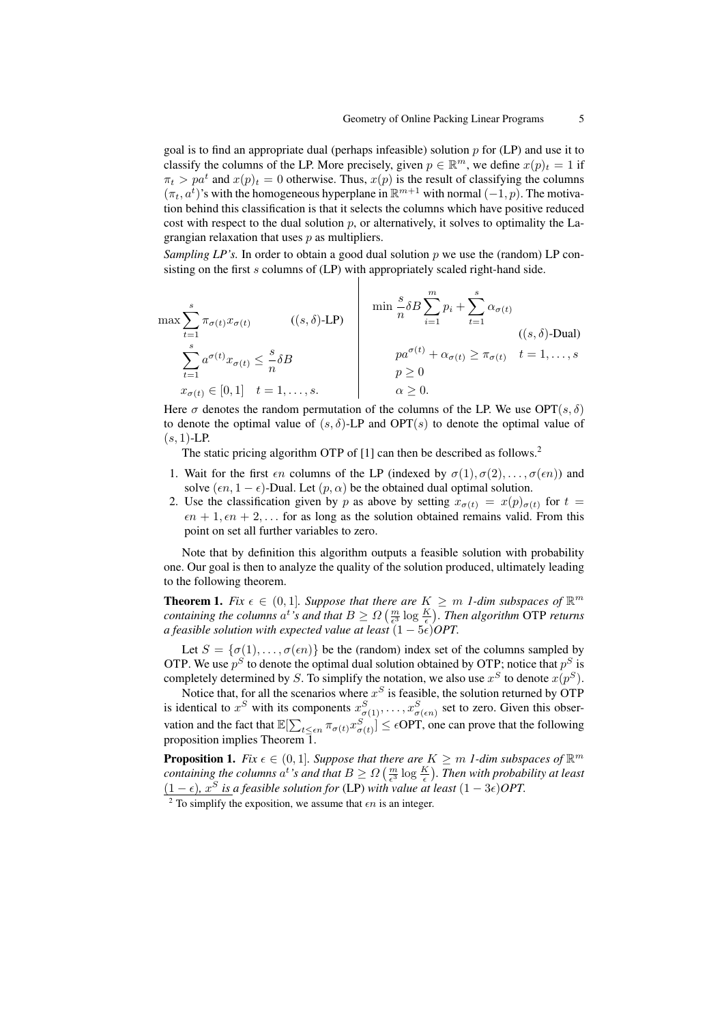goal is to find an appropriate dual (perhaps infeasible) solution  $p$  for (LP) and use it to classify the columns of the LP. More precisely, given  $p \in \mathbb{R}^m$ , we define  $x(p)_t = 1$  if  $\pi_t > pa^t$  and  $x(p)_t = 0$  otherwise. Thus,  $x(p)$  is the result of classifying the columns  $(\pi_t, a^{\overline{t}})$ 's with the homogeneous hyperplane in  $\mathbb{R}^{m+1}$  with normal  $(-1, p)$ . The motivation behind this classification is that it selects the columns which have positive reduced cost with respect to the dual solution  $p$ , or alternatively, it solves to optimality the Lagrangian relaxation that uses  $p$  as multipliers.

*Sampling LP's.* In order to obtain a good dual solution  $p$  we use the (random) LP consisting on the first s columns of (LP) with appropriately scaled right-hand side.

$$
\max \sum_{t=1}^{s} \pi_{\sigma(t)} x_{\sigma(t)} \qquad ((s, \delta) \text{-LP})
$$
\n
$$
\sum_{t=1}^{s} a^{\sigma(t)} x_{\sigma(t)} \le \frac{s}{n} \delta B
$$
\n
$$
x_{\sigma(t)} \in [0, 1] \quad t = 1, ..., s.
$$
\n
$$
\max \sum_{t=1}^{s} a^{\sigma(t)} x_{\sigma(t)} \le \frac{s}{n} \delta B
$$
\n
$$
p \ge 0
$$
\n
$$
\alpha \ge 0.
$$
\n
$$
(s, \delta) \text{-Dual}
$$
\n
$$
p \ge 0
$$
\n
$$
\alpha \ge 0.
$$
\n
$$
(s, \delta) \text{-Dual}
$$

Here  $\sigma$  denotes the random permutation of the columns of the LP. We use OPT(s,  $\delta$ ) to denote the optimal value of  $(s, \delta)$ -LP and OPT $(s)$  to denote the optimal value of  $(s, 1)$ -LP.

The static pricing algorithm OTP of [1] can then be described as follows.<sup>2</sup>

- 1. Wait for the first  $\epsilon n$  columns of the LP (indexed by  $\sigma(1), \sigma(2), \ldots, \sigma(\epsilon n)$ ) and solve  $(\epsilon n, 1 - \epsilon)$ -Dual. Let  $(p, \alpha)$  be the obtained dual optimal solution.
- 2. Use the classification given by p as above by setting  $x_{\sigma(t)} = x(p)_{\sigma(t)}$  for  $t =$  $\epsilon n + 1, \epsilon n + 2, \ldots$  for as long as the solution obtained remains valid. From this point on set all further variables to zero.

Note that by definition this algorithm outputs a feasible solution with probability one. Our goal is then to analyze the quality of the solution produced, ultimately leading to the following theorem.

**Theorem 1.** *Fix*  $\epsilon \in (0,1]$ *. Suppose that there are*  $K \geq m$  *1-dim subspaces of*  $\mathbb{R}^m$ *containing the columns*  $a^t$ 's and that  $B \geq \Omega\left(\frac{m}{\epsilon^3} \log \frac{K}{\epsilon}\right)$ . Then algorithm OTP returns *a feasible solution with expected value at least*  $(1 - 5\epsilon)$ *OPT.* 

Let  $S = {\sigma(1), \ldots, \sigma(\epsilon n)}$  be the (random) index set of the columns sampled by OTP. We use  $p^S$  to denote the optimal dual solution obtained by OTP; notice that  $p^S$  is completely determined by S. To simplify the notation, we also use  $x^S$  to denote  $x(p^S)$ .

Notice that, for all the scenarios where  $x^S$  is feasible, the solution returned by OTP is identical to  $x^S$  with its components  $x^S_{\sigma(1)}, \ldots, x^S_{\sigma(\epsilon n)}$  set to zero. Given this observation and the fact that  $\mathbb{E}[\sum_{t \leq \epsilon n} \pi_{\sigma(t)} x_{\sigma(t)}^S] \leq \epsilon \text{OPT}$ , one can prove that the following proposition implies Theorem  $\overline{1}$ .

**Proposition 1.** *Fix*  $\epsilon \in (0, 1]$ *. Suppose that there are*  $K \ge m$  *1-dim subspaces of*  $\mathbb{R}^m$ *containing the columns*  $a^t$ 's and that  $B \geq \Omega\left(\frac{m}{\epsilon^3} \log \frac{K}{\epsilon}\right)$ . Then with probability at least  $(1 - \epsilon)$ ,  $x^S$  *is a feasible solution for* (LP) *with value at least*  $(1 - 3\epsilon)$ *OPT.* 

<sup>2</sup> To simplify the exposition, we assume that  $\epsilon n$  is an integer.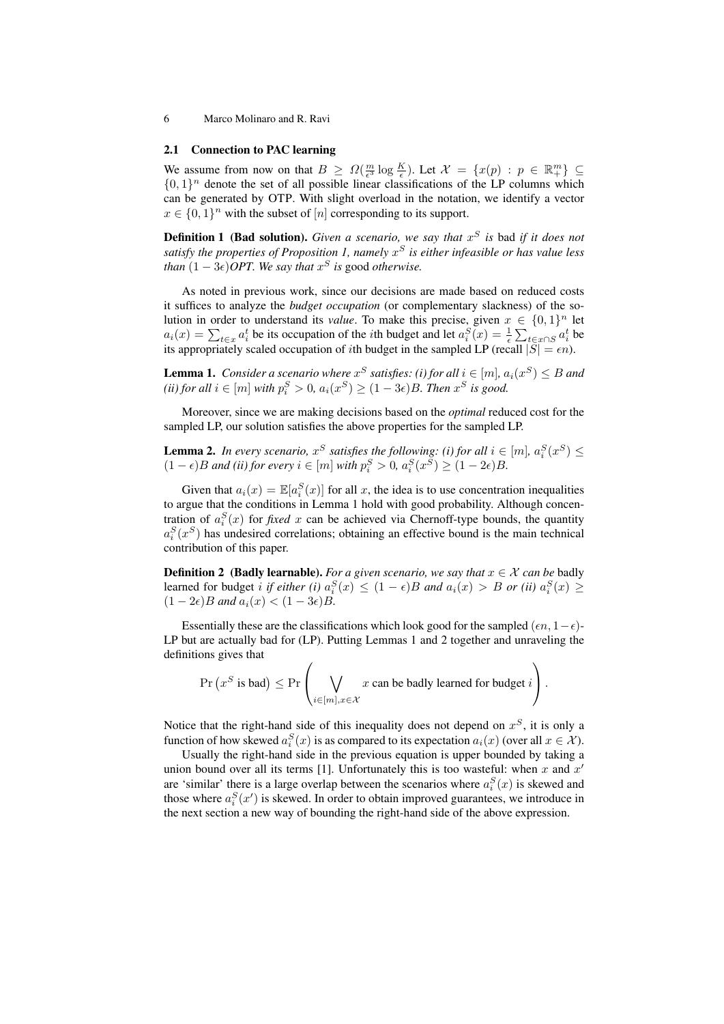#### 2.1 Connection to PAC learning

We assume from now on that  $B \geq \Omega(\frac{m}{\epsilon^3} \log \frac{K}{\epsilon})$ . Let  $\mathcal{X} = \{x(p) : p \in \mathbb{R}^m_+\} \subseteq$  $\{0,1\}^n$  denote the set of all possible linear classifications of the LP columns which can be generated by OTP. With slight overload in the notation, we identify a vector  $x \in \{0,1\}^n$  with the subset of  $[n]$  corresponding to its support.

**Definition 1 (Bad solution).** *Given a scenario, we say that*  $x^S$  *is* bad *if it does not satisfy the properties of Proposition 1, namely* x <sup>S</sup> *is either infeasible or has value less than*  $(1 - 3\epsilon)$ *OPT. We say that*  $x^S$  *is good otherwise.* 

As noted in previous work, since our decisions are made based on reduced costs it suffices to analyze the *budget occupation* (or complementary slackness) of the solution in order to understand its *value*. To make this precise, given  $x \in \{0,1\}^n$  let  $a_i(x) = \sum_{t \in x} a_i^t$  be its occupation of the *i*th budget and let  $a_i^S(x) = \frac{1}{\epsilon} \sum_{t \in x \cap S} a_i^t$  be its appropriately scaled occupation of *i*th budget in the sampled LP (recall  $|S| = \epsilon n$ ).

**Lemma 1.** Consider a scenario where  $x^S$  satisfies: (i) for all  $i \in [m]$ ,  $a_i(x^S) \leq B$  and (*ii*) for all  $i \in [m]$  with  $p_i^S > 0$ ,  $a_i(x^S) \ge (1 - 3\epsilon)B$ . Then  $x^S$  is good.

Moreover, since we are making decisions based on the *optimal* reduced cost for the sampled LP, our solution satisfies the above properties for the sampled LP.

**Lemma 2.** In every scenario,  $x^S$  satisfies the following: (i) for all  $i \in [m]$ ,  $a_i^S(x^S) \leq$  $(1 - \epsilon)B$  *and (ii) for every*  $i \in [m]$  *with*  $p_i^S > 0$ ,  $a_i^S(x^S) \geq (1 - 2\epsilon)B$ .

Given that  $a_i(x) = \mathbb{E}[a_i^S(x)]$  for all x, the idea is to use concentration inequalities to argue that the conditions in Lemma 1 hold with good probability. Although concentration of  $a_i^S(x)$  for *fixed* x can be achieved via Chernoff-type bounds, the quantity  $a_i^S(x^S)$  has undesired correlations; obtaining an effective bound is the main technical contribution of this paper.

**Definition 2** (Badly learnable). *For a given scenario, we say that*  $x \in \mathcal{X}$  *can be* badly learned for budget *i* if *either* (*i*)  $a_i^S(x) \le (1 - \epsilon)B$  and  $a_i(x) > B$  or (*ii*)  $a_i^S(x) \ge$  $(1 - 2\epsilon)B$  *and*  $a_i(x) < (1 - 3\epsilon)B$ .

Essentially these are the classifications which look good for the sampled  $(\epsilon n, 1-\epsilon)$ -LP but are actually bad for (LP). Putting Lemmas 1 and 2 together and unraveling the definitions gives that

$$
\Pr\left(x^S \text{ is bad}\right) \leq \Pr\left(\bigvee_{i \in [m], x \in \mathcal{X}} x \text{ can be badly learned for budget } i\right).
$$

Notice that the right-hand side of this inequality does not depend on  $x^S$ , it is only a function of how skewed  $a_i^S(x)$  is as compared to its expectation  $a_i(x)$  (over all  $x \in \mathcal{X}$ ).

Usually the right-hand side in the previous equation is upper bounded by taking a union bound over all its terms [1]. Unfortunately this is too wasteful: when x and  $x'$ are 'similar' there is a large overlap between the scenarios where  $a_i^S(x)$  is skewed and those where  $a_i^S(x')$  is skewed. In order to obtain improved guarantees, we introduce in the next section a new way of bounding the right-hand side of the above expression.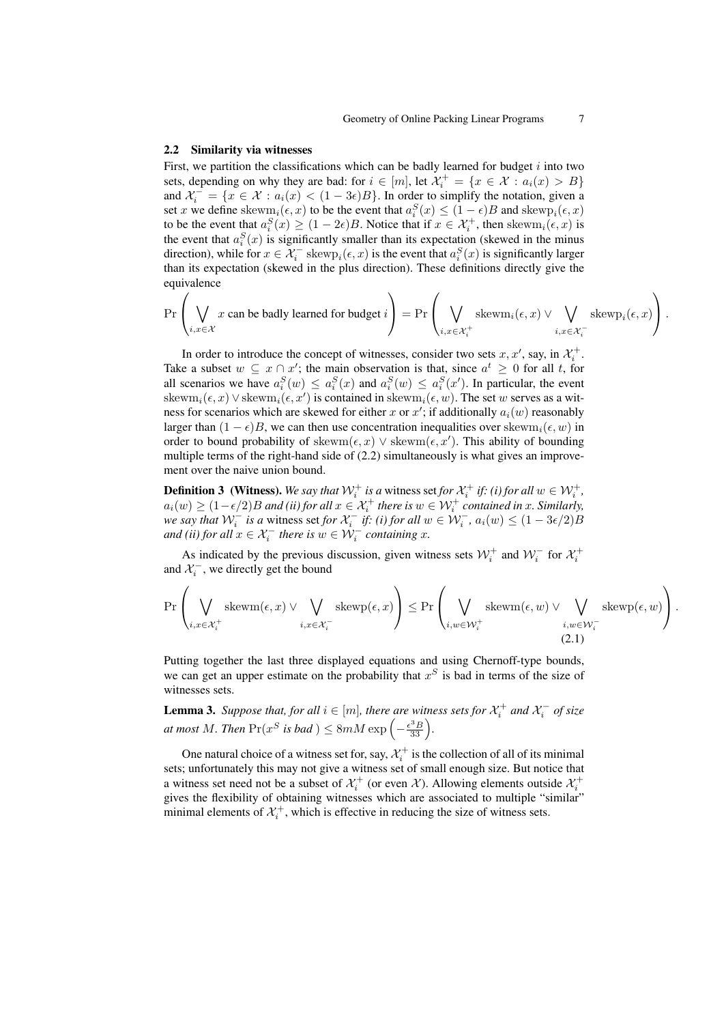#### 2.2 Similarity via witnesses

First, we partition the classifications which can be badly learned for budget  $i$  into two sets, depending on why they are bad: for  $i \in [m]$ , let  $\mathcal{X}_i^+ = \{x \in \mathcal{X} : a_i(x) > B\}$ and  $\mathcal{X}_i^- = \{x \in \mathcal{X} : a_i(x) < (1 - 3\epsilon)B\}$ . In order to simplify the notation, given a set x we define skew $m_i(\epsilon, x)$  to be the event that  $a_i^S(x) \le (1 - \epsilon)B$  and skewp $_i(\epsilon, x)$ to be the event that  $a_i^S(x) \geq (1 - 2\epsilon)B$ . Notice that if  $x \in \mathcal{X}_i^+$ , then skewm $_i(\epsilon, x)$  is the event that  $a_i^S(x)$  is significantly smaller than its expectation (skewed in the minus direction), while for  $x \in \mathcal{X}_i^-$  skew $p_i(\epsilon, x)$  is the event that  $a_i^S(x)$  is significantly larger than its expectation (skewed in the plus direction). These definitions directly give the equivalence

$$
\Pr\left(\bigvee_{i,x\in\mathcal{X}}x\text{ can be badly learned for budget }i\right)=\Pr\left(\bigvee_{i,x\in\mathcal{X}^+_i}\text{skewm}_i(\epsilon,x)\vee \bigvee_{i,x\in\mathcal{X}^-_i}\text{skewp}_i(\epsilon,x)\right).
$$

In order to introduce the concept of witnesses, consider two sets  $x, x'$ , say, in  $\mathcal{X}_i^+$ . Take a subset  $w \subseteq x \cap x'$ ; the main observation is that, since  $a^t \geq 0$  for all t, for all scenarios we have  $a_i^S(w) \le a_i^S(x)$  and  $a_i^S(w) \le a_i^S(x')$ . In particular, the event skew $m_i(\epsilon, x)$   $\vee$  skew $m_i(\epsilon, x')$  is contained in skew $m_i(\epsilon, w)$ . The set w serves as a witness for scenarios which are skewed for either x or  $x'$ ; if additionally  $a_i(w)$  reasonably larger than  $(1 - \epsilon)B$ , we can then use concentration inequalities over skewm<sub>i</sub> $(\epsilon, w)$  in order to bound probability of skewm $(\epsilon, x)$   $\vee$  skewm $(\epsilon, x')$ . This ability of bounding multiple terms of the right-hand side of (2.2) simultaneously is what gives an improvement over the naive union bound.

**Definition 3** (Witness). We say that  $W_i^+$  is a witness set for  $\mathcal{X}_i^+$  if: (i) for all  $w \in \mathcal{W}_i^+$ ,  $a_i(w) \ge (1 - \epsilon/2)B$  and (ii) for all  $x \in \mathcal{X}_i^+$  there is  $w \in \mathcal{W}_i^+$  contained in x. Similarly, *we say that*  $W_i^-$  *is a* witness set *for*  $\mathcal{X}_i^-$  *if: (i) for all*  $w \in W_i^-$ ,  $a_i(w) \leq (1 - 3\epsilon/2)B$ *and (ii) for all*  $x \in \mathcal{X}_i^-$  *there is*  $w \in \mathcal{W}_i^-$  *containing*  $x$ *.* 

As indicated by the previous discussion, given witness sets  $\mathcal{W}_i^+$  and  $\mathcal{W}_i^-$  for  $\mathcal{X}_i^+$ and  $\mathcal{X}_i^-$ , we directly get the bound

$$
\Pr\left(\bigvee_{i,x\in\mathcal{X}_i^+}\text{skewm}(\epsilon,x)\vee\bigvee_{i,x\in\mathcal{X}_i^-}\text{skewp}(\epsilon,x)\right)\leq \Pr\left(\bigvee_{i,w\in\mathcal{W}_i^+}\text{skewm}(\epsilon,w)\vee\bigvee_{i,w\in\mathcal{W}_i^-}\text{skewp}(\epsilon,w)\right).
$$
(2.1)

Putting together the last three displayed equations and using Chernoff-type bounds, we can get an upper estimate on the probability that  $x<sup>S</sup>$  is bad in terms of the size of witnesses sets.

**Lemma 3.** Suppose that, for all  $i \in [m]$ , there are witness sets for  $\mathcal{X}_i^+$  and  $\mathcal{X}_i^-$  of size *at most M. Then*  $\Pr(x^S \text{ is bad}) \leq 8mM \exp\left(-\frac{\epsilon^3 B}{33}\right)$ .

One natural choice of a witness set for, say,  $\mathcal{X}_i^+$  is the collection of all of its minimal sets; unfortunately this may not give a witness set of small enough size. But notice that a witness set need not be a subset of  $\mathcal{X}_i^+$  (or even  $\mathcal{X}$ ). Allowing elements outside  $\mathcal{X}_i^+$ gives the flexibility of obtaining witnesses which are associated to multiple "similar" minimal elements of  $\mathcal{X}_i^+$ , which is effective in reducing the size of witness sets.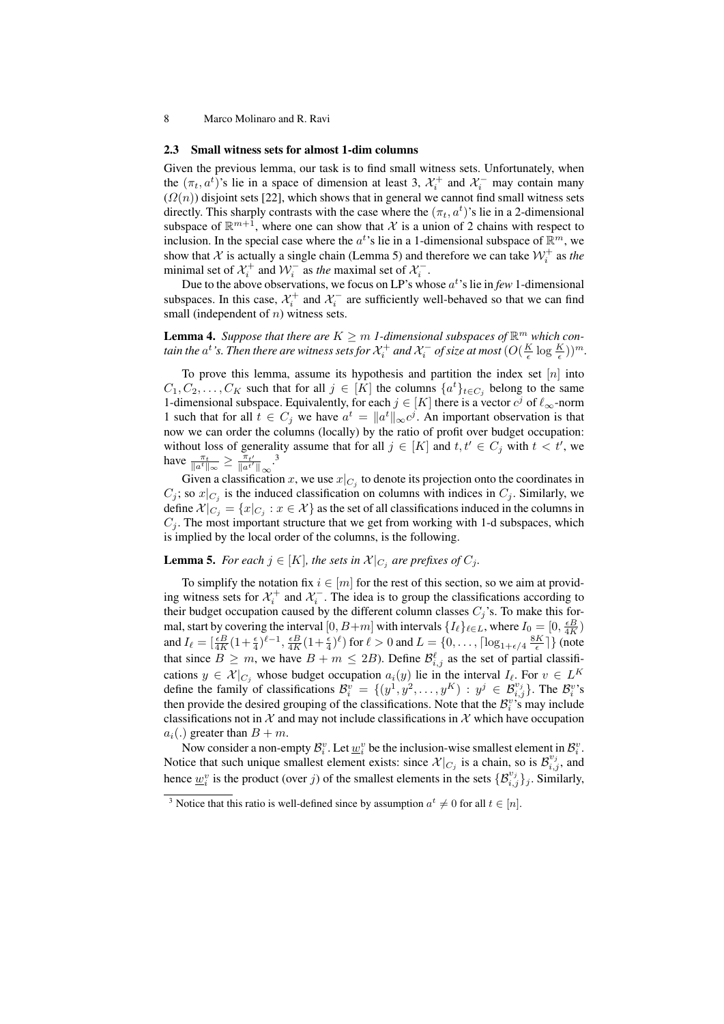#### 2.3 Small witness sets for almost 1-dim columns

Given the previous lemma, our task is to find small witness sets. Unfortunately, when the  $(\pi_t, a^t)$ 's lie in a space of dimension at least 3,  $\mathcal{X}_i^+$  and  $\mathcal{X}_i^-$  may contain many  $(\Omega(n))$  disjoint sets [22], which shows that in general we cannot find small witness sets directly. This sharply contrasts with the case where the  $(\pi_t, a^t)$ 's lie in a 2-dimensional subspace of  $\mathbb{R}^{m+1}$ , where one can show that X is a union of 2 chains with respect to inclusion. In the special case where the  $a^t$ 's lie in a 1-dimensional subspace of  $\mathbb{R}^m$ , we show that  $\mathcal{X}$  is actually a single chain (Lemma 5) and therefore we can take  $\mathcal{W}_i^+$  as the minimal set of  $\mathcal{X}_i^+$  and  $\mathcal{W}_i^-$  as *the* maximal set of  $\mathcal{X}_i^-$ .

Due to the above observations, we focus on LP's whose  $a^t$ 's lie in *few* 1-dimensional subspaces. In this case,  $\mathcal{X}_i^+$  and  $\mathcal{X}_i^-$  are sufficiently well-behaved so that we can find small (independent of  $n$ ) witness sets.

**Lemma 4.** Suppose that there are  $K \geq m$  1-dimensional subspaces of  $\mathbb{R}^m$  which contain the  $a^t$  's. Then there are witness sets for  $\mathcal{X}_i^+$  and  $\mathcal{X}_i^-$  of size at most  $(O(\frac{K}{\epsilon}\log\frac{K}{\epsilon}))^m$ .

To prove this lemma, assume its hypothesis and partition the index set  $[n]$  into  $C_1, C_2, \ldots, C_K$  such that for all  $j \in [K]$  the columns  $\{a^t\}_{t \in C_j}$  belong to the same 1-dimensional subspace. Equivalently, for each  $j \in [K]$  there is a vector  $c^j$  of  $\ell_{\infty}$ -norm 1 such that for all  $t \in C_j$  we have  $a^t = ||a^t||_{\infty} c^j$ . An important observation is that now we can order the columns (locally) by the ratio of profit over budget occupation: without loss of generality assume that for all  $j \in [K]$  and  $t, t' \in C_j$  with  $t < t'$ , we have  $\frac{\pi_t}{\|a^t\|_{\infty}} \ge \frac{\pi_{t'}}{\|a^{t'}\|_{\infty}}$ .<sup>3</sup>

Given a classification x, we use  $x|_{C_j}$  to denote its projection onto the coordinates in  $C_j$ ; so  $x|_{C_j}$  is the induced classification on columns with indices in  $C_j$ . Similarly, we define  $\mathcal{X}|_{C_j} = \{x|_{C_j} : x \in \mathcal{X}\}$  as the set of all classifications induced in the columns in  $C_j$ . The most important structure that we get from working with 1-d subspaces, which is implied by the local order of the columns, is the following.

# **Lemma 5.** For each  $j \in [K]$ , the sets in  $\mathcal{X}|_{C_j}$  are prefixes of  $C_j$ .

To simplify the notation fix  $i \in [m]$  for the rest of this section, so we aim at providing witness sets for  $\mathcal{X}_i^+$  and  $\mathcal{X}_i^-$ . The idea is to group the classifications according to their budget occupation caused by the different column classes  $C_j$ 's. To make this formal, start by covering the interval  $[0, B+m]$  with intervals  $\{I_\ell\}_{\ell \in L}$ , where  $I_0 = [0, \frac{\epsilon B}{4K})$ and  $I_\ell = \left[\frac{\epsilon B}{4K}(1+\frac{\epsilon}{4})^{\ell-1}, \frac{\epsilon B}{4K}(1+\frac{\epsilon}{4})^{\ell}\right]$  for  $\ell > 0$  and  $L = \{0, \ldots, \lceil \log_{1+\epsilon/4} \frac{8K}{\epsilon} \rceil\}$  (note that since  $B \ge m$ , we have  $B + m \le 2B$ ). Define  $\mathcal{B}_{i,j}^{\ell}$  as the set of partial classifications  $y \in \mathcal{X}|_{C_j}$  whose budget occupation  $a_i(y)$  lie in the interval  $I_\ell$ . For  $v \in L^K$ define the family of classifications  $\mathcal{B}_i^v = \{(y^1, y^2, \dots, y^K) : y^j \in \mathcal{B}_{i,j}^{v_j}\}\.$  The  $\mathcal{B}_i^v$ 's then provide the desired grouping of the classifications. Note that the  $\mathcal{B}_i^{\nu}$ 's may include classifications not in  $\mathcal X$  and may not include classifications in  $\mathcal X$  which have occupation  $a_i(.)$  greater than  $B + m$ .

Now consider a non-empty  $\mathcal{B}_i^v$ . Let  $\underline{w}_i^v$  be the inclusion-wise smallest element in  $\mathcal{B}_i^v$ . Notice that such unique smallest element exists: since  $\chi|_{C_j}$  is a chain, so is  $\mathcal{B}_{i,j}^{v_j}$ , and hence  $\underline{w}_i^v$  is the product (over j) of the smallest elements in the sets  $\{\mathcal{B}_{i,j}^{v_j}\}_j$ . Similarly,

<sup>&</sup>lt;sup>3</sup> Notice that this ratio is well-defined since by assumption  $a^t \neq 0$  for all  $t \in [n]$ .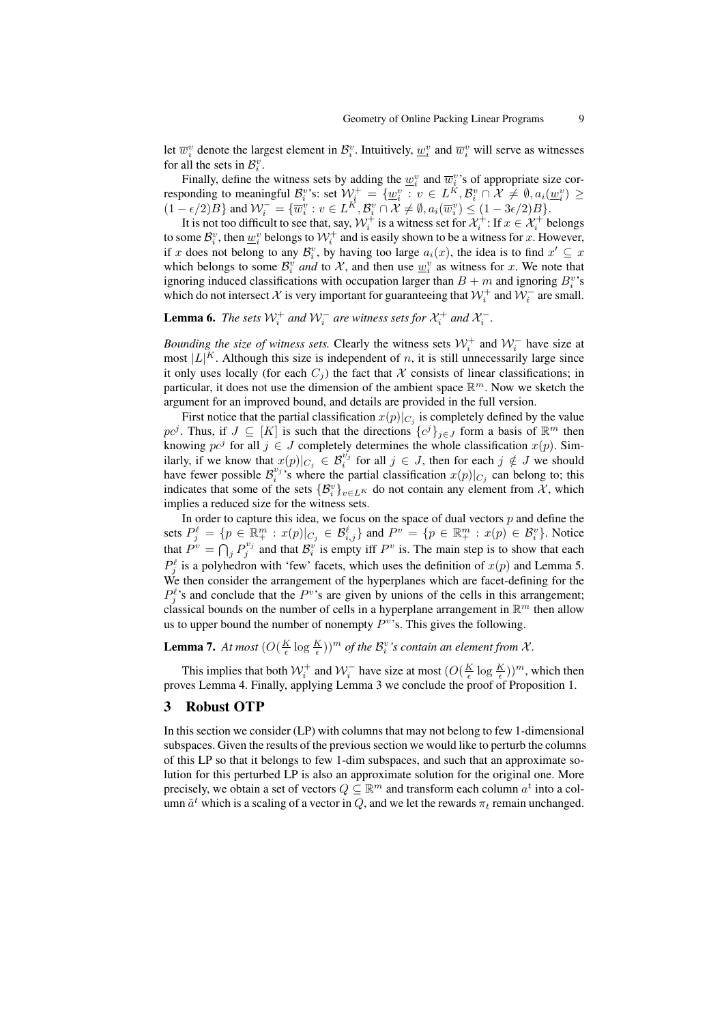let  $\overline{w}_i^v$  denote the largest element in  $\mathcal{B}_i^v$ . Intuitively,  $\underline{w}_i^v$  and  $\overline{w}_i^v$  will serve as witnesses for all the sets in  $\mathcal{B}_i^v$ .

Finally, define the witness sets by adding the  $\underline{w}_i^v$  and  $\overline{w}_i^v$ 's of appropriate size corresponding to meaningful  $\mathcal{B}_i^v$ 's: set  $\mathcal{W}^+_i = \{\underline{w}_i^v : v \in L^{\check{K}}, \mathcal{B}_i^v \cap \mathcal{X} \neq \emptyset, a_i(\underline{w}_i^v) \geq 0\}$  $(1 - \epsilon/2)B$  and  $W_i^- = \{\overline{w}_i^v : v \in L^K, \mathcal{B}_i^v \cap \mathcal{X} \neq \emptyset, a_i(\overline{w}_i^v) \leq (1 - 3\epsilon/2)B\}.$ 

It is not too difficult to see that, say,  $W_i^+$  is a witness set for  $\mathcal{X}_i^+$ : If  $x \in \mathcal{X}_i^+$  belongs to some  $\mathcal{B}_i^v$ , then  $\underline{w}_i^v$  belongs to  $\mathcal{W}_i^+$  and is easily shown to be a witness for x. However, if x does not belong to any  $\mathcal{B}_i^v$ , by having too large  $a_i(x)$ , the idea is to find  $x' \subseteq x$ which belongs to some  $\mathcal{B}_i^v$  *and* to X, and then use  $\underline{w}_i^v$  as witness for x. We note that ignoring induced classifications with occupation larger than  $B + m$  and ignoring  $B_i^v$ 's which do not intersect  $\mathcal X$  is very important for guaranteeing that  $\mathcal W_i^+$  and  $\mathcal W_i^-$  are small.

**Lemma 6.** The sets  $\mathcal{W}_i^+$  and  $\mathcal{W}_i^-$  are witness sets for  $\mathcal{X}_i^+$  and  $\mathcal{X}_i^-$ .

*Bounding the size of witness sets.* Clearly the witness sets  $W_i^+$  and  $W_i^-$  have size at most  $|L|^K$ . Although this size is independent of n, it is still unnecessarily large since it only uses locally (for each  $C_i$ ) the fact that X consists of linear classifications; in particular, it does not use the dimension of the ambient space  $\mathbb{R}^m$ . Now we sketch the argument for an improved bound, and details are provided in the full version.

First notice that the partial classification  $x(p)|_{C_j}$  is completely defined by the value pc<sup>j</sup>. Thus, if  $J \subseteq [K]$  is such that the directions  $\{c^j\}_{j \in J}$  form a basis of  $\mathbb{R}^m$  then knowing  $pe^{j}$  for all  $j \in J$  completely determines the whole classification  $x(p)$ . Similarly, if we know that  $x(p)|_{C_j} \in \mathcal{B}_i^{v_j}$  for all  $j \in J$ , then for each  $j \notin J$  we should have fewer possible  $\mathcal{B}_i^{v_j}$ 's where the partial classification  $x(p)|_{C_j}$  can belong to; this indicates that some of the sets  $\{\mathcal{B}_{i}^{v}\}_{v\in L^{K}}$  do not contain any element from X, which implies a reduced size for the witness sets.

In order to capture this idea, we focus on the space of dual vectors  $p$  and define the sets  $P_j^\ell = \{p \in \mathbb{R}_+^m : x(p)|_{C_j} \in \mathcal{B}_{i,j}^\ell\}$  and  $P^v = \{p \in \mathbb{R}_+^m : x(p) \in \mathcal{B}_i^v\}$ . Notice that  $P^v = \bigcap_j P_j^{v_j}$  and that  $\mathcal{B}_i^v$  is empty iff  $P^v$  is. The main step is to show that each  $P_j^{\ell}$  is a polyhedron with 'few' facets, which uses the definition of  $x(p)$  and Lemma 5. We then consider the arrangement of the hyperplanes which are facet-defining for the  $P_j^{\ell}$ 's and conclude that the  $P^{\nu}$ 's are given by unions of the cells in this arrangement; classical bounds on the number of cells in a hyperplane arrangement in  $\mathbb{R}^m$  then allow us to upper bound the number of nonempty  $P^v$ 's. This gives the following.

**Lemma 7.** At most  $(O(\frac{K}{\epsilon} \log \frac{K}{\epsilon}))^m$  of the  $\mathcal{B}_i^v$ 's contain an element from X.

This implies that both  $W_i^+$  and  $W_i^-$  have size at most  $(O(\frac{K}{\epsilon} \log \frac{K}{\epsilon}))^m$ , which then proves Lemma 4. Finally, applying Lemma 3 we conclude the proof of Proposition 1.

#### 3 Robust OTP

In this section we consider (LP) with columns that may not belong to few 1-dimensional subspaces. Given the results of the previous section we would like to perturb the columns of this LP so that it belongs to few 1-dim subspaces, and such that an approximate solution for this perturbed LP is also an approximate solution for the original one. More precisely, we obtain a set of vectors  $Q \subseteq \mathbb{R}^m$  and transform each column  $a^t$  into a column  $\tilde{a}^t$  which is a scaling of a vector in  $Q$ , and we let the rewards  $\pi_t$  remain unchanged.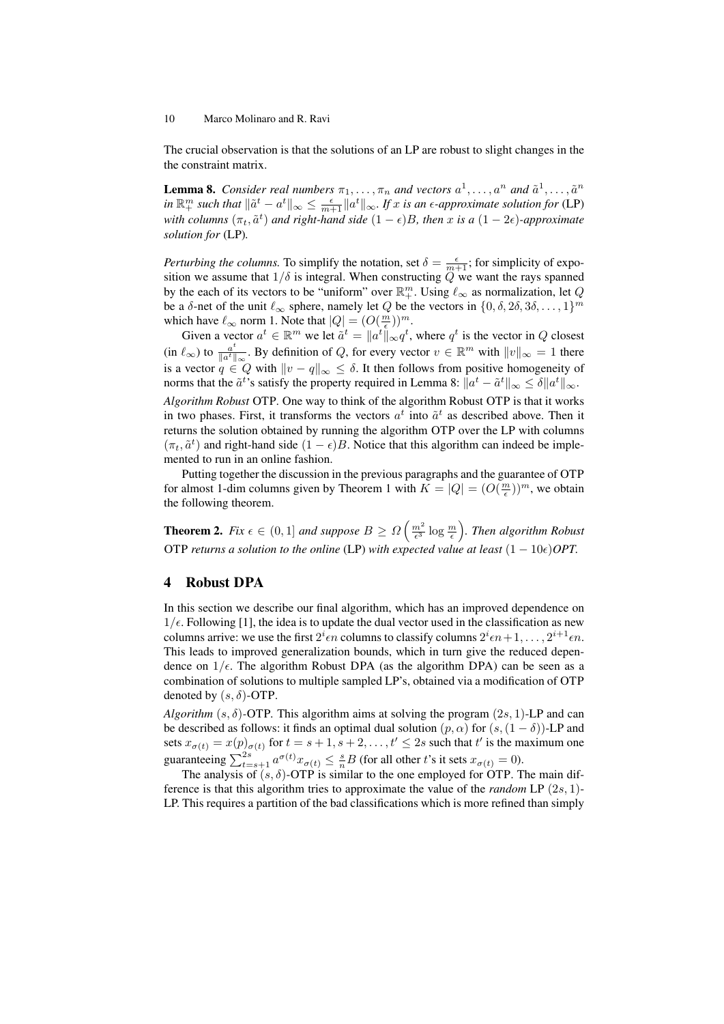The crucial observation is that the solutions of an LP are robust to slight changes in the the constraint matrix.

**Lemma 8.** Consider real numbers  $\pi_1, \ldots, \pi_n$  and vectors  $a^1, \ldots, a^n$  and  $\tilde{a}^1, \ldots, \tilde{a}^n$  $\lim_{n \to \infty} \frac{1}{n}$  *such that*  $\|\tilde{a}^t - a^t\|_{\infty} \le \frac{\epsilon}{m+1} \|a^t\|_{\infty}$ . If x is an  $\epsilon$ -approximate solution for (LP) with columns  $(\pi_t, \tilde{a}^t)$  and right-hand side  $(1 - \epsilon)B$ , then x is a  $(1 - 2\epsilon)$ -approximate *solution for* (LP)*.*

*Perturbing the columns.* To simplify the notation, set  $\delta = \frac{\epsilon}{m+1}$ ; for simplicity of exposition we assume that  $1/\delta$  is integral. When constructing Q we want the rays spanned by the each of its vectors to be "uniform" over  $\mathbb{R}^m_+$ . Using  $\ell_{\infty}$  as normalization, let Q be a  $\delta$ -net of the unit  $\ell_{\infty}$  sphere, namely let Q be the vectors in  $\{0, \delta, 2\delta, 3\delta, \ldots, 1\}^m$ which have  $\ell_{\infty}$  norm 1. Note that  $|Q| = (O(\frac{m}{\epsilon}))^m$ .

Given a vector  $a^t \in \mathbb{R}^m$  we let  $\tilde{a}^t = \|a^t\|_{\infty} q^t$ , where  $q^t$  is the vector in Q closest (in  $\ell_{\infty}$ ) to  $\frac{a^t}{\|a^t\|}$  $\frac{a^t}{\|a^t\|_{\infty}}$ . By definition of Q, for every vector  $v \in \mathbb{R}^m$  with  $||v||_{\infty} = 1$  there is a vector  $q \in Q$  with  $||v - q||_{\infty} \leq \delta$ . It then follows from positive homogeneity of norms that the  $\tilde a^t$ 's satisfy the property required in Lemma 8:  $\|a^t - \tilde a^t\|_\infty \leq \delta \|a^t\|_\infty.$ *Algorithm Robust* OTP*.* One way to think of the algorithm Robust OTP is that it works in two phases. First, it transforms the vectors  $a^t$  into  $\tilde{a}^t$  as described above. Then it returns the solution obtained by running the algorithm OTP over the LP with columns  $(\pi_t, \tilde{a}^t)$  and right-hand side  $(1 - \epsilon)B$ . Notice that this algorithm can indeed be implemented to run in an online fashion.

Putting together the discussion in the previous paragraphs and the guarantee of OTP for almost 1-dim columns given by Theorem 1 with  $K = |Q| = (O(\frac{m}{\epsilon}))^m$ , we obtain the following theorem.

**Theorem 2.** Fix  $\epsilon \in (0,1]$  and suppose  $B \geq \Omega\left(\frac{m^2}{\epsilon^3} \log \frac{m}{\epsilon}\right)$ . Then algorithm Robust OTP *returns a solution to the online* (LP) *with expected value at least*  $(1 - 10\epsilon)$ *OPT*.

## 4 Robust DPA

In this section we describe our final algorithm, which has an improved dependence on  $1/\epsilon$ . Following [1], the idea is to update the dual vector used in the classification as new columns arrive: we use the first  $2^i \epsilon n$  columns to classify columns  $2^i \epsilon n + 1, \ldots, 2^{i+1} \epsilon n$ . This leads to improved generalization bounds, which in turn give the reduced dependence on  $1/\epsilon$ . The algorithm Robust DPA (as the algorithm DPA) can be seen as a combination of solutions to multiple sampled LP's, obtained via a modification of OTP denoted by  $(s, \delta)$ -OTP.

*Algorithm* ( $s, \delta$ )-OTP. This algorithm aims at solving the program ( $2s, 1$ )-LP and can be described as follows: it finds an optimal dual solution  $(p, \alpha)$  for  $(s,(1 - \delta))$ -LP and sets  $x_{\sigma(t)} = x(p)_{\sigma(t)}$  for  $t = s + 1, s + 2, \ldots, t' \leq 2s$  such that  $t'$  is the maximum one guaranteeing  $\sum_{t=s+1}^{2s} a^{\sigma(t)} x_{\sigma(t)} \leq \frac{s}{n} B$  (for all other t's it sets  $x_{\sigma(t)} = 0$ ).

The analysis of  $(s, \delta)$ -OTP is similar to the one employed for OTP. The main difference is that this algorithm tries to approximate the value of the *random* LP (2s, 1)- LP. This requires a partition of the bad classifications which is more refined than simply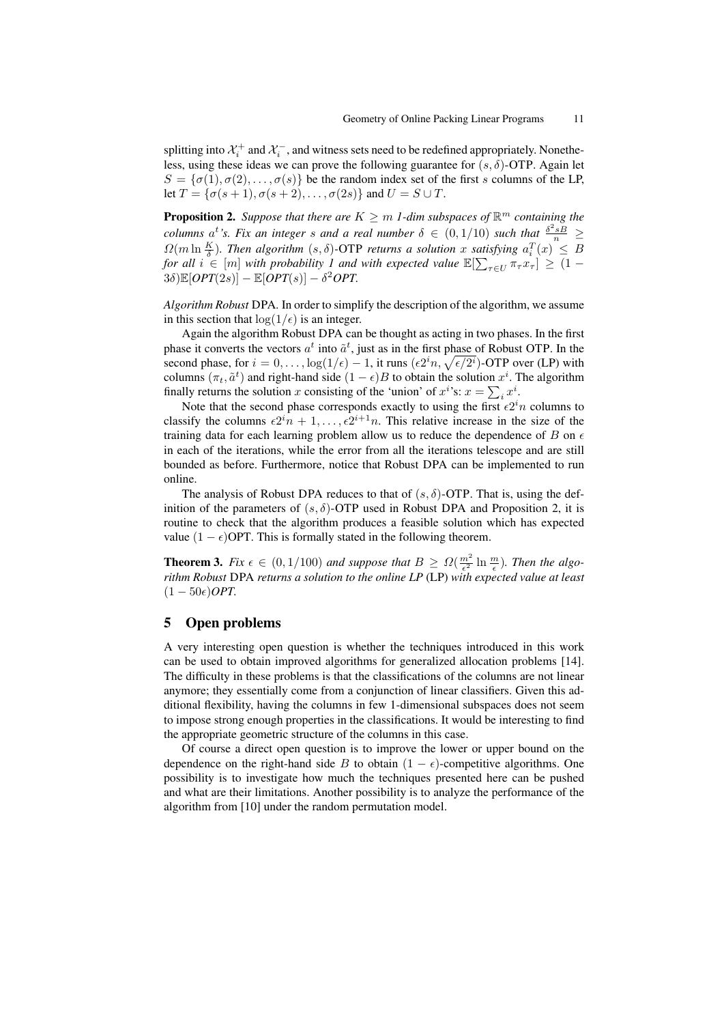splitting into  $\mathcal{X}_i^+$  and  $\mathcal{X}_i^-$ , and witness sets need to be redefined appropriately. Nonetheless, using these ideas we can prove the following guarantee for  $(s, \delta)$ -OTP. Again let  $S = {\sigma(1), \sigma(2), \ldots, \sigma(s)}$  be the random index set of the first s columns of the LP, let  $T = \{\sigma(s+1), \sigma(s+2), \ldots, \sigma(2s)\}\$ and  $U = S \cup T$ .

**Proposition 2.** Suppose that there are  $K \geq m$  1-dim subspaces of  $\mathbb{R}^m$  containing the *columns*  $a^t$ 's. Fix an integer s and a real number  $\delta \in (0, 1/10)$  such that  $\frac{\delta^2 sB}{n} \geq$  $\Omega(m \ln \frac{K}{\delta})$ . Then algorithm  $(s, \delta)$ -OTP returns a solution x satisfying  $a_i^T(x) \leq B$ *for all*  $i \in [m]$  *with probability* 1 *and with expected value*  $\mathbb{E}[\sum_{\tau \in U} \pi_{\tau} x_{\tau}] \geq (1 - \tau)$  $3\delta$ ) $\mathbb{E}[OPT(2s)] - \mathbb{E}[OPT(s)] - \delta^2 OPT$ .

*Algorithm Robust* DPA*.* In order to simplify the description of the algorithm, we assume in this section that  $\log(1/\epsilon)$  is an integer.

Again the algorithm Robust DPA can be thought as acting in two phases. In the first phase it converts the vectors  $a^t$  into  $\tilde{a}^t$ , just as in the first phase of Robust OTP. In the second phase, for  $i = 0, \ldots, \log(1/\epsilon) - 1$ , it runs  $(\epsilon 2^i n, \sqrt{\epsilon/2^i})$ -OTP over (LP) with columns  $(\pi_t, \tilde{a}^t)$  and right-hand side  $(1 - \epsilon)B$  to obtain the solution  $x^i$ . The algorithm finally returns the solution x consisting of the 'union' of  $x^i$ 's:  $x = \sum_i x^i$ .

Note that the second phase corresponds exactly to using the first  $\epsilon 2^{i}n$  columns to classify the columns  $\epsilon 2^{i}n + 1, \ldots, \epsilon 2^{i+1}n$ . This relative increase in the size of the training data for each learning problem allow us to reduce the dependence of B on  $\epsilon$ in each of the iterations, while the error from all the iterations telescope and are still bounded as before. Furthermore, notice that Robust DPA can be implemented to run online.

The analysis of Robust DPA reduces to that of  $(s, \delta)$ -OTP. That is, using the definition of the parameters of  $(s, \delta)$ -OTP used in Robust DPA and Proposition 2, it is routine to check that the algorithm produces a feasible solution which has expected value  $(1 - \epsilon)$ OPT. This is formally stated in the following theorem.

**Theorem 3.** Fix  $\epsilon \in (0, 1/100)$  and suppose that  $B \geq \Omega(\frac{m^2}{\epsilon^2} \ln \frac{m}{\epsilon})$ . Then the algo*rithm Robust* DPA *returns a solution to the online LP* (LP) *with expected value at least*  $(1 - 50\epsilon)$ *OPT*.

# 5 Open problems

A very interesting open question is whether the techniques introduced in this work can be used to obtain improved algorithms for generalized allocation problems [14]. The difficulty in these problems is that the classifications of the columns are not linear anymore; they essentially come from a conjunction of linear classifiers. Given this additional flexibility, having the columns in few 1-dimensional subspaces does not seem to impose strong enough properties in the classifications. It would be interesting to find the appropriate geometric structure of the columns in this case.

Of course a direct open question is to improve the lower or upper bound on the dependence on the right-hand side B to obtain  $(1 - \epsilon)$ -competitive algorithms. One possibility is to investigate how much the techniques presented here can be pushed and what are their limitations. Another possibility is to analyze the performance of the algorithm from [10] under the random permutation model.